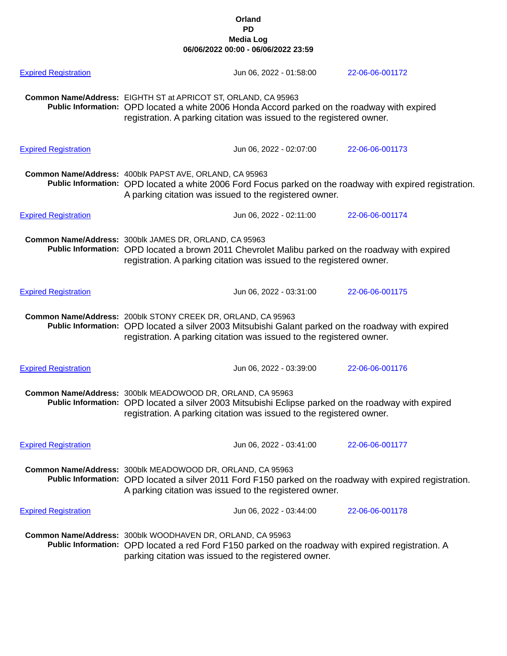| <b>Expired Registration</b> | Jun 06, 2022 - 01:58:00                                                                                                                                                                                                                    | 22-06-06-001172 |  |  |
|-----------------------------|--------------------------------------------------------------------------------------------------------------------------------------------------------------------------------------------------------------------------------------------|-----------------|--|--|
|                             | Common Name/Address: EIGHTH ST at APRICOT ST, ORLAND, CA 95963<br>Public Information: OPD located a white 2006 Honda Accord parked on the roadway with expired<br>registration. A parking citation was issued to the registered owner.     |                 |  |  |
| <b>Expired Registration</b> | Jun 06, 2022 - 02:07:00                                                                                                                                                                                                                    | 22-06-06-001173 |  |  |
|                             | Common Name/Address: 400blk PAPST AVE, ORLAND, CA 95963<br>Public Information: OPD located a white 2006 Ford Focus parked on the roadway with expired registration.<br>A parking citation was issued to the registered owner.              |                 |  |  |
| <b>Expired Registration</b> | Jun 06, 2022 - 02:11:00                                                                                                                                                                                                                    | 22-06-06-001174 |  |  |
|                             | Common Name/Address: 300blk JAMES DR, ORLAND, CA 95963<br>Public Information: OPD located a brown 2011 Chevrolet Malibu parked on the roadway with expired<br>registration. A parking citation was issued to the registered owner.         |                 |  |  |
| <b>Expired Registration</b> | Jun 06, 2022 - 03:31:00                                                                                                                                                                                                                    | 22-06-06-001175 |  |  |
|                             | Common Name/Address: 200blk STONY CREEK DR, ORLAND, CA 95963<br>Public Information: OPD located a silver 2003 Mitsubishi Galant parked on the roadway with expired<br>registration. A parking citation was issued to the registered owner. |                 |  |  |
| <b>Expired Registration</b> | Jun 06, 2022 - 03:39:00                                                                                                                                                                                                                    | 22-06-06-001176 |  |  |
|                             | Common Name/Address: 300blk MEADOWOOD DR, ORLAND, CA 95963<br>Public Information: OPD located a silver 2003 Mitsubishi Eclipse parked on the roadway with expired<br>registration. A parking citation was issued to the registered owner.  |                 |  |  |
| <b>Expired Registration</b> | Jun 06, 2022 - 03:41:00                                                                                                                                                                                                                    | 22-06-06-001177 |  |  |
|                             | Common Name/Address: 300blk MEADOWOOD DR, ORLAND, CA 95963<br>Public Information: OPD located a silver 2011 Ford F150 parked on the roadway with expired registration.<br>A parking citation was issued to the registered owner.           |                 |  |  |
| <b>Expired Registration</b> | Jun 06, 2022 - 03:44:00                                                                                                                                                                                                                    | 22-06-06-001178 |  |  |
|                             | Common Name/Address: 300blk WOODHAVEN DR, ORLAND, CA 95963<br>Public Information: OPD located a red Ford F150 parked on the roadway with expired registration. A<br>parking citation was issued to the registered owner.                   |                 |  |  |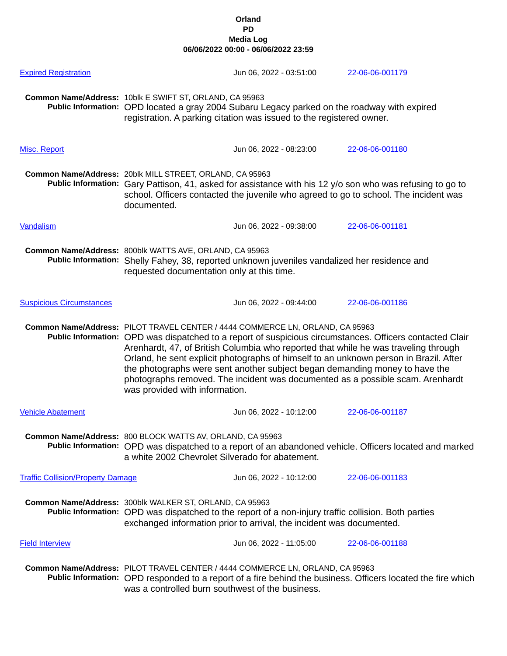| <b>Expired Registration</b>              |                                                                                                                                                                                                                                                                                                                                                                                                                                                                                                                                                                              | Jun 06, 2022 - 03:51:00 | 22-06-06-001179 |  |
|------------------------------------------|------------------------------------------------------------------------------------------------------------------------------------------------------------------------------------------------------------------------------------------------------------------------------------------------------------------------------------------------------------------------------------------------------------------------------------------------------------------------------------------------------------------------------------------------------------------------------|-------------------------|-----------------|--|
|                                          | Common Name/Address: 10blk E SWIFT ST, ORLAND, CA 95963<br>Public Information: OPD located a gray 2004 Subaru Legacy parked on the roadway with expired<br>registration. A parking citation was issued to the registered owner.                                                                                                                                                                                                                                                                                                                                              |                         |                 |  |
| Misc. Report                             |                                                                                                                                                                                                                                                                                                                                                                                                                                                                                                                                                                              | Jun 06, 2022 - 08:23:00 | 22-06-06-001180 |  |
|                                          | Common Name/Address: 20blk MILL STREET, ORLAND, CA 95963<br>Public Information: Gary Pattison, 41, asked for assistance with his 12 y/o son who was refusing to go to<br>school. Officers contacted the juvenile who agreed to go to school. The incident was<br>documented.                                                                                                                                                                                                                                                                                                 |                         |                 |  |
| <b>Vandalism</b>                         |                                                                                                                                                                                                                                                                                                                                                                                                                                                                                                                                                                              | Jun 06, 2022 - 09:38:00 | 22-06-06-001181 |  |
|                                          | Common Name/Address: 800blk WATTS AVE, ORLAND, CA 95963<br>Public Information: Shelly Fahey, 38, reported unknown juveniles vandalized her residence and<br>requested documentation only at this time.                                                                                                                                                                                                                                                                                                                                                                       |                         |                 |  |
| <b>Suspicious Circumstances</b>          |                                                                                                                                                                                                                                                                                                                                                                                                                                                                                                                                                                              | Jun 06, 2022 - 09:44:00 | 22-06-06-001186 |  |
|                                          | Common Name/Address: PILOT TRAVEL CENTER / 4444 COMMERCE LN, ORLAND, CA 95963<br>Public Information: OPD was dispatched to a report of suspicious circumstances. Officers contacted Clair<br>Arenhardt, 47, of British Columbia who reported that while he was traveling through<br>Orland, he sent explicit photographs of himself to an unknown person in Brazil. After<br>the photographs were sent another subject began demanding money to have the<br>photographs removed. The incident was documented as a possible scam. Arenhardt<br>was provided with information. |                         |                 |  |
| <b>Vehicle Abatement</b>                 |                                                                                                                                                                                                                                                                                                                                                                                                                                                                                                                                                                              | Jun 06, 2022 - 10:12:00 | 22-06-06-001187 |  |
|                                          | Common Name/Address: 800 BLOCK WATTS AV, ORLAND, CA 95963<br>Public Information: OPD was dispatched to a report of an abandoned vehicle. Officers located and marked<br>a white 2002 Chevrolet Silverado for abatement.                                                                                                                                                                                                                                                                                                                                                      |                         |                 |  |
| <b>Traffic Collision/Property Damage</b> |                                                                                                                                                                                                                                                                                                                                                                                                                                                                                                                                                                              | Jun 06, 2022 - 10:12:00 | 22-06-06-001183 |  |
|                                          | Common Name/Address: 300blk WALKER ST, ORLAND, CA 95963<br>Public Information: OPD was dispatched to the report of a non-injury traffic collision. Both parties<br>exchanged information prior to arrival, the incident was documented.                                                                                                                                                                                                                                                                                                                                      |                         |                 |  |
| <b>Field Interview</b>                   |                                                                                                                                                                                                                                                                                                                                                                                                                                                                                                                                                                              | Jun 06, 2022 - 11:05:00 | 22-06-06-001188 |  |
|                                          | Common Name/Address: PILOT TRAVEL CENTER / 4444 COMMERCE LN, ORLAND, CA 95963<br>Public Information: OPD responded to a report of a fire behind the business. Officers located the fire which<br>was a controlled burn southwest of the business.                                                                                                                                                                                                                                                                                                                            |                         |                 |  |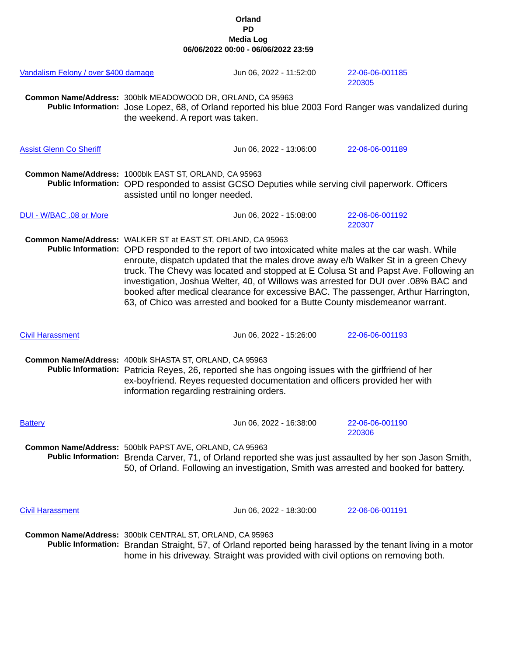| Vandalism Felony / over \$400 damage |                                                                                                                                                                                                                                                                                                                                                                                                                                                                                                                                                                                                                 | Jun 06, 2022 - 11:52:00                                                          | 22-06-06-001185<br>220305                                                                                                                                                                         |  |
|--------------------------------------|-----------------------------------------------------------------------------------------------------------------------------------------------------------------------------------------------------------------------------------------------------------------------------------------------------------------------------------------------------------------------------------------------------------------------------------------------------------------------------------------------------------------------------------------------------------------------------------------------------------------|----------------------------------------------------------------------------------|---------------------------------------------------------------------------------------------------------------------------------------------------------------------------------------------------|--|
|                                      | Common Name/Address: 300blk MEADOWOOD DR, ORLAND, CA 95963<br>Public Information: Jose Lopez, 68, of Orland reported his blue 2003 Ford Ranger was vandalized during<br>the weekend. A report was taken.                                                                                                                                                                                                                                                                                                                                                                                                        |                                                                                  |                                                                                                                                                                                                   |  |
| <b>Assist Glenn Co Sheriff</b>       |                                                                                                                                                                                                                                                                                                                                                                                                                                                                                                                                                                                                                 | Jun 06, 2022 - 13:06:00                                                          | 22-06-06-001189                                                                                                                                                                                   |  |
|                                      | Common Name/Address: 1000blk EAST ST, ORLAND, CA 95963<br>Public Information: OPD responded to assist GCSO Deputies while serving civil paperwork. Officers<br>assisted until no longer needed.                                                                                                                                                                                                                                                                                                                                                                                                                 |                                                                                  |                                                                                                                                                                                                   |  |
| DUI - W/BAC .08 or More              |                                                                                                                                                                                                                                                                                                                                                                                                                                                                                                                                                                                                                 | Jun 06, 2022 - 15:08:00                                                          | 22-06-06-001192<br>220307                                                                                                                                                                         |  |
|                                      | Common Name/Address: WALKER ST at EAST ST, ORLAND, CA 95963<br>Public Information: OPD responded to the report of two intoxicated white males at the car wash. While<br>enroute, dispatch updated that the males drove away e/b Walker St in a green Chevy<br>truck. The Chevy was located and stopped at E Colusa St and Papst Ave. Following an<br>investigation, Joshua Welter, 40, of Willows was arrested for DUI over .08% BAC and<br>booked after medical clearance for excessive BAC. The passenger, Arthur Harrington,<br>63, of Chico was arrested and booked for a Butte County misdemeanor warrant. |                                                                                  |                                                                                                                                                                                                   |  |
| <b>Civil Harassment</b>              |                                                                                                                                                                                                                                                                                                                                                                                                                                                                                                                                                                                                                 | Jun 06, 2022 - 15:26:00                                                          | 22-06-06-001193                                                                                                                                                                                   |  |
|                                      | Common Name/Address: 400blk SHASTA ST, ORLAND, CA 95963<br>Public Information: Patricia Reyes, 26, reported she has ongoing issues with the girlfriend of her<br>ex-boyfriend. Reyes requested documentation and officers provided her with<br>information regarding restraining orders.                                                                                                                                                                                                                                                                                                                        |                                                                                  |                                                                                                                                                                                                   |  |
| <b>Battery</b>                       |                                                                                                                                                                                                                                                                                                                                                                                                                                                                                                                                                                                                                 | Jun 06, 2022 - 16:38:00                                                          | 22-06-06-001190<br>220306                                                                                                                                                                         |  |
|                                      | Common Name/Address: 500blk PAPST AVE, ORLAND, CA 95963                                                                                                                                                                                                                                                                                                                                                                                                                                                                                                                                                         |                                                                                  | Public Information: Brenda Carver, 71, of Orland reported she was just assaulted by her son Jason Smith,<br>50, of Orland. Following an investigation, Smith was arrested and booked for battery. |  |
| <b>Civil Harassment</b>              |                                                                                                                                                                                                                                                                                                                                                                                                                                                                                                                                                                                                                 | Jun 06, 2022 - 18:30:00                                                          | 22-06-06-001191                                                                                                                                                                                   |  |
|                                      | Common Name/Address: 300blk CENTRAL ST, ORLAND, CA 95963                                                                                                                                                                                                                                                                                                                                                                                                                                                                                                                                                        | home in his driveway. Straight was provided with civil options on removing both. | Public Information: Brandan Straight, 57, of Orland reported being harassed by the tenant living in a motor                                                                                       |  |